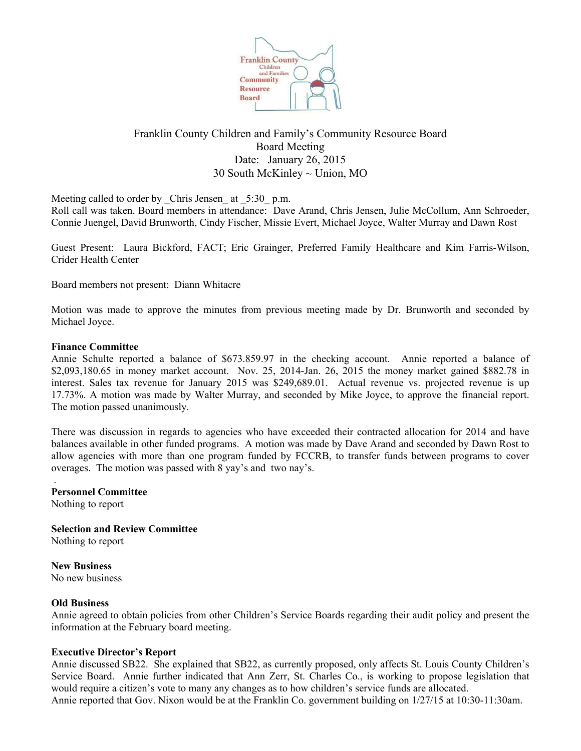

# Franklin County Children and Family's Community Resource Board Board Meeting Date: January 26, 2015 30 South McKinley ~ Union, MO

Meeting called to order by Chris Jensen at  $5:30$  p.m.

Roll call was taken. Board members in attendance: Dave Arand, Chris Jensen, Julie McCollum, Ann Schroeder, Connie Juengel, David Brunworth, Cindy Fischer, Missie Evert, Michael Joyce, Walter Murray and Dawn Rost

Guest Present: Laura Bickford, FACT; Eric Grainger, Preferred Family Healthcare and Kim Farris-Wilson, Crider Health Center

Board members not present: Diann Whitacre

Motion was made to approve the minutes from previous meeting made by Dr. Brunworth and seconded by Michael Joyce.

## **Finance Committee**

Annie Schulte reported a balance of  $$673.859.97$  in the checking account. Annie reported a balance of \$2,093,180.65 in money market account. Nov. 25, 2014-Jan. 26, 2015 the money market gained \$882.78 in interest. Sales tax revenue for January 2015 was  $$249,689.01$ . Actual revenue vs. projected revenue is up 17.73%. A motion was made by Walter Murray, and seconded by Mike Joyce, to approve the financial report. The motion passed unanimously.

There was discussion in regards to agencies who have exceeded their contracted allocation for 2014 and have balances available in other funded programs. A motion was made by Dave Arand and seconded by Dawn Rost to allow agencies with more than one program funded by FCCRB, to transfer funds between programs to cover overages. The motion was passed with 8 yay's and two nay's.

**Personnel Committee** Nothing to report

.

**Selection and Review Committee** Nothing to report

**New Business** No new business

## **Old Business**

Annie agreed to obtain policies from other Children's Service Boards regarding their audit policy and present the information at the February board meeting.

## **Executive Director's Report**

Annie discussed SB22. She explained that SB22, as currently proposed, only affects St. Louis County Children's Service Board. Annie further indicated that Ann Zerr, St. Charles Co., is working to propose legislation that would require a citizen's vote to many any changes as to how children's service funds are allocated. Annie reported that Gov. Nixon would be at the Franklin Co. government building on  $1/27/15$  at  $10:30-11:30$ am.